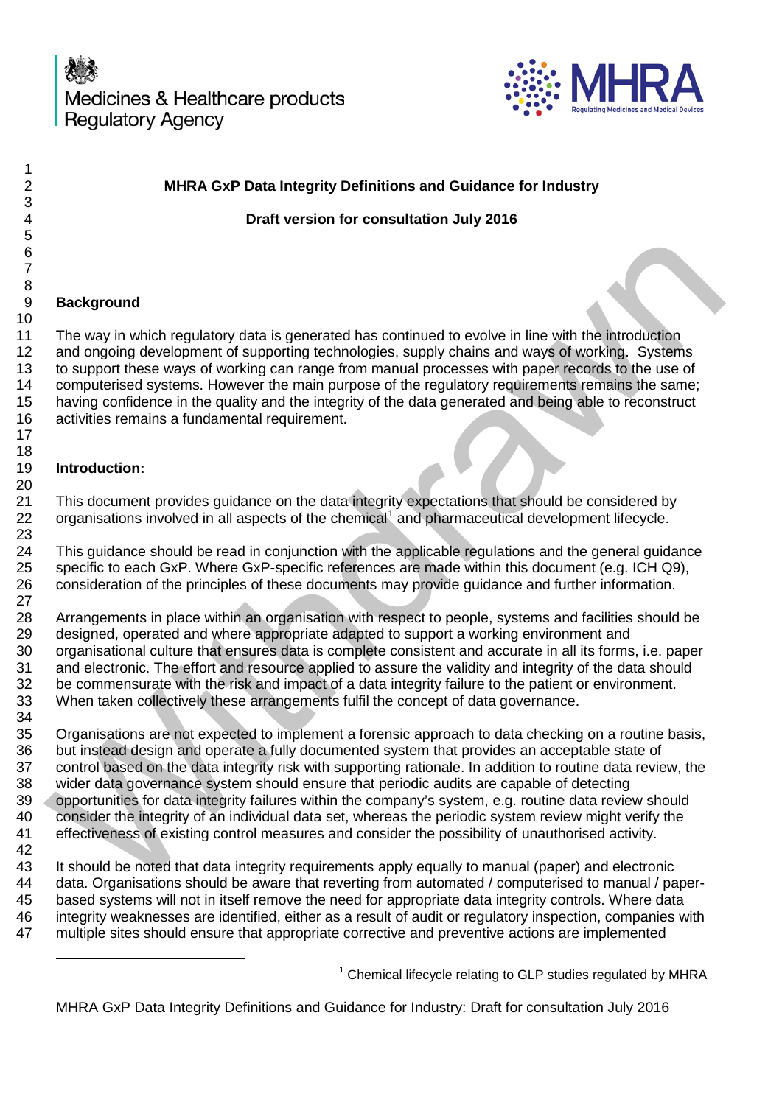

<span id="page-0-0"></span>

| MHRA GxP Data Integrity Definitions and Guidance for Industry                                                |
|--------------------------------------------------------------------------------------------------------------|
| Draft version for consultation July 2016                                                                     |
|                                                                                                              |
|                                                                                                              |
|                                                                                                              |
|                                                                                                              |
| <b>Background</b>                                                                                            |
| The way in which regulatory data is generated has continued to evolve in line with the introduction          |
| and ongoing development of supporting technologies, supply chains and ways of working. Systems               |
| to support these ways of working can range from manual processes with paper records to the use of            |
| computerised systems. However the main purpose of the regulatory requirements remains the same;              |
| having confidence in the quality and the integrity of the data generated and being able to reconstruct       |
| activities remains a fundamental requirement.                                                                |
|                                                                                                              |
|                                                                                                              |
| Introduction:                                                                                                |
|                                                                                                              |
| This document provides guidance on the data integrity expectations that should be considered by              |
| organisations involved in all aspects of the chemical <sup>1</sup> and pharmaceutical development lifecycle. |
|                                                                                                              |
| This guidance should be read in conjunction with the applicable regulations and the general guidance         |
| specific to each GxP. Where GxP-specific references are made within this document (e.g. ICH Q9),             |
| consideration of the principles of these documents may provide guidance and further information.             |
|                                                                                                              |
| Arrangements in place within an organisation with respect to people, systems and facilities should be        |
| designed, operated and where appropriate adapted to support a working environment and                        |
| organisational culture that ensures data is complete consistent and accurate in all its forms, i.e. paper    |
| and electronic. The effort and resource applied to assure the validity and integrity of the data should      |
| be commensurate with the risk and impact of a data integrity failure to the patient or environment.          |
| When taken collectively these arrangements fulfil the concept of data governance.                            |
|                                                                                                              |
| Organisations are not expected to implement a forensic approach to data checking on a routine basis,         |
| but instead design and operate a fully documented system that provides an acceptable state of                |
| control based on the data integrity risk with supporting rationale. In addition to routine data review, the  |
| wider data governance system should ensure that periodic audits are capable of detecting                     |
| opportunities for data integrity failures within the company's system, e.g. routine data review should       |
| consider the integrity of an individual data set, whereas the periodic system review might verify the        |
| effectiveness of existing control measures and consider the possibility of unauthorised activity.            |
|                                                                                                              |
| It should be noted that data integrity requirements apply equally to manual (paper) and electronic           |
| data. Organisations should be aware that reverting from automated / computerised to manual / paper-          |
| based systems will not in itself remove the need for appropriate data integrity controls. Where data         |
| integrity weaknesses are identified, either as a result of audit or regulatory inspection, companies with    |
| multiple sites should ensure that appropriate corrective and preventive actions are implemented              |
|                                                                                                              |
| <sup>1</sup> Chemical lifecycle relating to GLP studies regulated by MHRA                                    |
| MHRA GxP Data Integrity Definitions and Guidance for Industry: Draft for consultation July 2016              |
|                                                                                                              |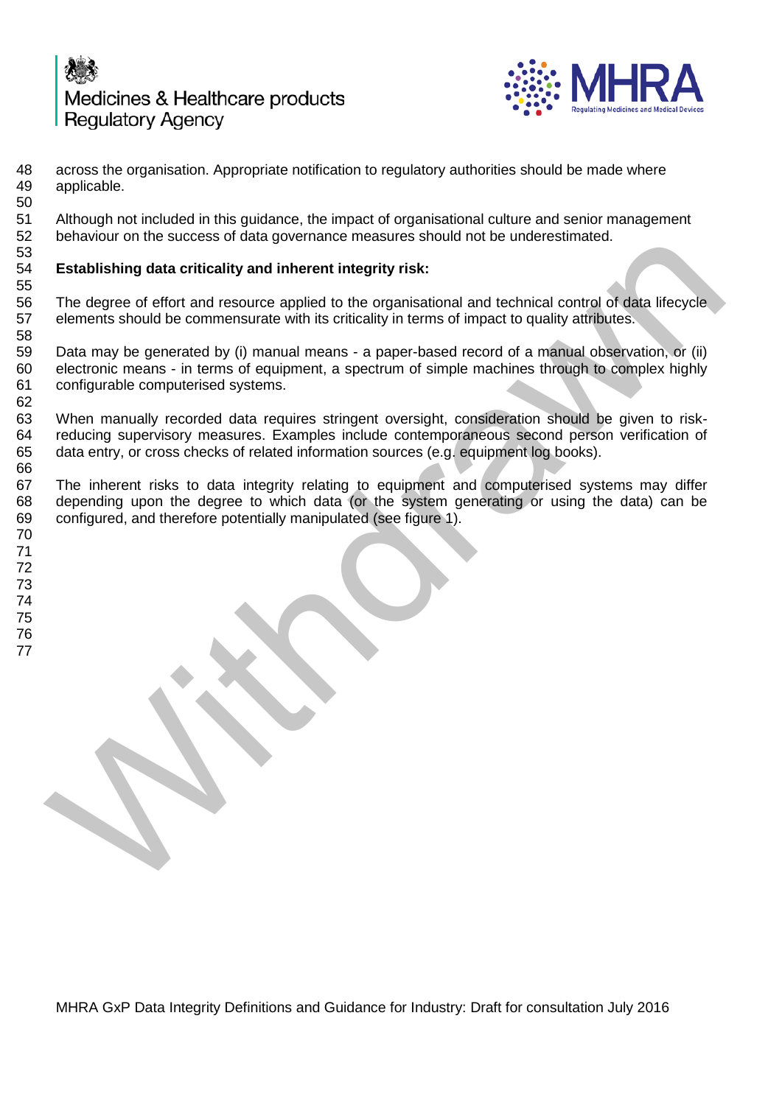



48 across the organisation. Appropriate notification to regulatory authorities should be made where 49 applicable. applicable. Although not included in this guidance, the impact of organisational culture and senior management behaviour on the success of data governance measures should not be underestimated.

### 53<br>54 **Establishing data criticality and inherent integrity risk:**

55<br>56 56 The degree of effort and resource applied to the organisational and technical control of data lifecycle<br>57 elements should be commensurate with its criticality in terms of impact to quality attributes. elements should be commensurate with its criticality in terms of impact to quality attributes.

 Data may be generated by (i) manual means - a paper-based record of a manual observation, or (ii) electronic means - in terms of equipment, a spectrum of simple machines through to complex highly configurable computerised systems.

 When manually recorded data requires stringent oversight, consideration should be given to risk- reducing supervisory measures. Examples include contemporaneous second person verification of data entry, or cross checks of related information sources (e.g. equipment log books). 

 The inherent risks to data integrity relating to equipment and computerised systems may differ depending upon the degree to which data (or the system generating or using the data) can be configured, and therefore potentially manipulated (see figure 1). behaviour is success or utang version and enterprise solution to the understandant interpretation and technical control of data lifecycle<br>
Enterpretation and resource applied to the organisational and technical control of

 

- 
- 
- 
-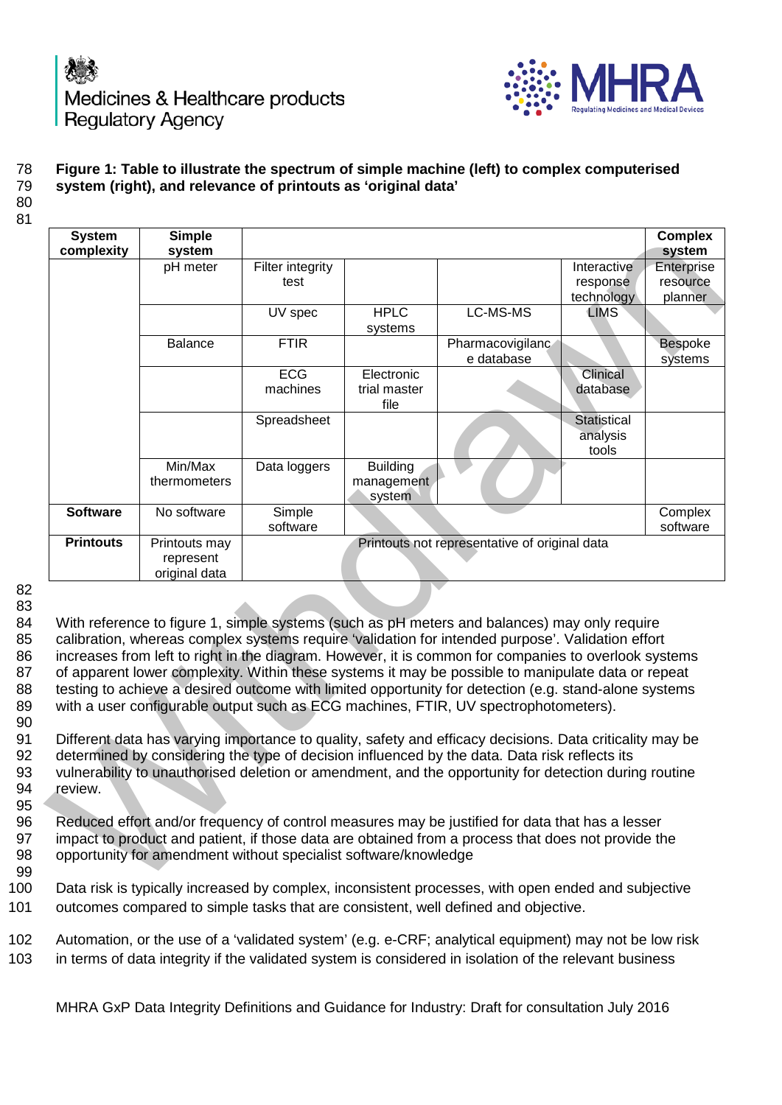



# 78 **Figure 1: Table to illustrate the spectrum of simple machine (left) to complex computerised**

### system (right), and relevance of printouts as 'original data'

80 81

| <b>System</b><br>complexity                                                                                                                                                                                                                                                                                                                                                                                                                                                                                                                                                                                                                                                                                                 | <b>Simple</b><br>system                     |                          |                                         |                                               |                                       | <b>Complex</b><br>system          |  |  |  |
|-----------------------------------------------------------------------------------------------------------------------------------------------------------------------------------------------------------------------------------------------------------------------------------------------------------------------------------------------------------------------------------------------------------------------------------------------------------------------------------------------------------------------------------------------------------------------------------------------------------------------------------------------------------------------------------------------------------------------------|---------------------------------------------|--------------------------|-----------------------------------------|-----------------------------------------------|---------------------------------------|-----------------------------------|--|--|--|
|                                                                                                                                                                                                                                                                                                                                                                                                                                                                                                                                                                                                                                                                                                                             | pH meter                                    | Filter integrity<br>test |                                         |                                               | Interactive<br>response<br>technology | Enterprise<br>resource<br>planner |  |  |  |
|                                                                                                                                                                                                                                                                                                                                                                                                                                                                                                                                                                                                                                                                                                                             |                                             | UV spec                  | <b>HPLC</b><br>systems                  | LC-MS-MS                                      | <b>LIMS</b>                           |                                   |  |  |  |
|                                                                                                                                                                                                                                                                                                                                                                                                                                                                                                                                                                                                                                                                                                                             | Balance                                     | <b>FTIR</b>              |                                         | Pharmacovigilanc<br>e database                |                                       | <b>Bespoke</b><br>systems         |  |  |  |
|                                                                                                                                                                                                                                                                                                                                                                                                                                                                                                                                                                                                                                                                                                                             |                                             | <b>ECG</b><br>machines   | Electronic<br>trial master<br>file      |                                               | Clinical<br>database                  |                                   |  |  |  |
|                                                                                                                                                                                                                                                                                                                                                                                                                                                                                                                                                                                                                                                                                                                             |                                             | Spreadsheet              |                                         |                                               | Statistical<br>analysis<br>tools      |                                   |  |  |  |
|                                                                                                                                                                                                                                                                                                                                                                                                                                                                                                                                                                                                                                                                                                                             | Min/Max<br>thermometers                     | Data loggers             | <b>Building</b><br>management<br>system |                                               |                                       |                                   |  |  |  |
| <b>Software</b>                                                                                                                                                                                                                                                                                                                                                                                                                                                                                                                                                                                                                                                                                                             | No software                                 | Simple<br>software       |                                         |                                               |                                       | Complex<br>software               |  |  |  |
| <b>Printouts</b>                                                                                                                                                                                                                                                                                                                                                                                                                                                                                                                                                                                                                                                                                                            | Printouts may<br>represent<br>original data |                          |                                         | Printouts not representative of original data |                                       |                                   |  |  |  |
| With reference to figure 1, simple systems (such as pH meters and balances) may only require<br>calibration, whereas complex systems require 'validation for intended purpose'. Validation effort<br>increases from left to right in the diagram. However, it is common for companies to overlook systems<br>of apparent lower complexity. Within these systems it may be possible to manipulate data or repeat<br>testing to achieve a desired outcome with limited opportunity for detection (e.g. stand-alone systems<br>with a user configurable output such as ECG machines, FTIR, UV spectrophotometers).<br>Different data has varying importance to quality, safety and efficacy decisions. Data criticality may be |                                             |                          |                                         |                                               |                                       |                                   |  |  |  |
| determined by considering the type of decision influenced by the data. Data risk reflects its<br>vulnerability to unauthorised deletion or amendment, and the opportunity for detection during routine<br>review.                                                                                                                                                                                                                                                                                                                                                                                                                                                                                                           |                                             |                          |                                         |                                               |                                       |                                   |  |  |  |
| Reduced effort and/or frequency of control measures may be justified for data that has a lesser<br>impact to product and patient, if those data are obtained from a process that does not provide the<br>opportunity for amendment without specialist software/knowledge                                                                                                                                                                                                                                                                                                                                                                                                                                                    |                                             |                          |                                         |                                               |                                       |                                   |  |  |  |
| Data risk is typically increased by complex, inconsistent processes, with open ended and subjective                                                                                                                                                                                                                                                                                                                                                                                                                                                                                                                                                                                                                         |                                             |                          |                                         |                                               |                                       |                                   |  |  |  |

82 83

90

95

99

100 Data risk is typically increased by complex, inconsistent processes, with open ended and subjective 101 outcomes compared to simple tasks that are consistent, well defined and objective.

102 Automation, or the use of a 'validated system' (e.g. e-CRF; analytical equipment) may not be low risk 103 in terms of data integrity if the validated system is considered in isolation of the relevant business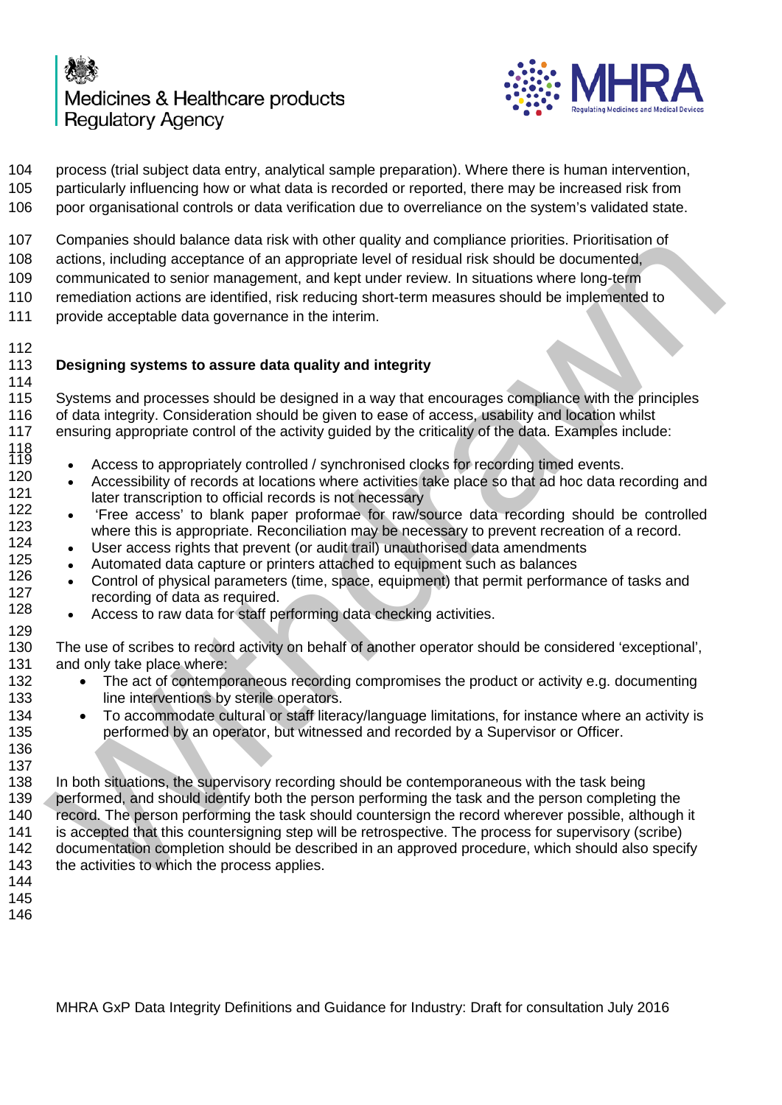

 process (trial subject data entry, analytical sample preparation). Where there is human intervention, particularly influencing how or what data is recorded or reported, there may be increased risk from poor organisational controls or data verification due to overreliance on the system's validated state.

Companies should balance data risk with other quality and compliance priorities. Prioritisation of

actions, including acceptance of an appropriate level of residual risk should be documented,

communicated to senior management, and kept under review. In situations where long-term

remediation actions are identified, risk reducing short-term measures should be implemented to

provide acceptable data governance in the interim.

 **Designing systems to assure data quality and integrity** 

 Systems and processes should be designed in a way that encourages compliance with the principles of data integrity. Consideration should be given to ease of access, usability and location whilst ensuring appropriate control of the activity guided by the criticality of the data. Examples include:

- <sup>119</sup> Access to appropriately controlled / synchronised clocks for recording timed events.<br>120  **Accessibility of records at locations where activities take place so that ad besidets re**
- <sup>120</sup> Accessibility of records at locations where activities take place so that ad hoc data recording and 121  $\frac{121}{122}$  later transcription to official records is not necessary<br>122  $\cdot$  'Free access' to blank paper proforman for raw/s
- <sup>122</sup> 'Free access' to blank paper proformae for raw/source data recording should be controlled 123 where this is appropriate. Reconciliation may be necessary to prevent recreation of a record.<br>124 and Lien access rights that provent (or audit trail) unauthorised data among ments
- $\frac{124}{125}$  User access rights that prevent (or audit trail) unauthorised data amendments 125
- <sup>125</sup> Automated data capture or printers attached to equipment such as balances<br>126  **Control of physical parameters** (time cance equipment) that permit performs
- <sup>126</sup> Control of physical parameters (time, space, equipment) that permit performance of tasks and 127  $\frac{127}{128}$  recording of data as required.
	- Access to raw data for staff performing data checking activities.
- 

 The use of scribes to record activity on behalf of another operator should be considered 'exceptional', and only take place where:

- 132 The act of contemporaneous recording compromises the product or activity e.g. documenting 133 line interventions by sterile operators.
- To accommodate cultural or staff literacy/language limitations, for instance where an activity is performed by an operator, but witnessed and recorded by a Supervisor or Officer.
- 

 In both situations, the supervisory recording should be contemporaneous with the task being 139 performed, and should identify both the person performing the task and the person completing the record. The person performing the task should countersign the record wherever possible, although it is accepted that this countersigning step will be retrospective. The process for supervisory (scribe) documentation completion should be described in an approved procedure, which should also specify 143 the activities to which the process applies. companes froudd belater elatar netw with other quality and compliance prontest. Promistation<br>carcing acceptance of an appropriate level of residual risk should be documented,<br>communicated to senior management, and kept und

- 
-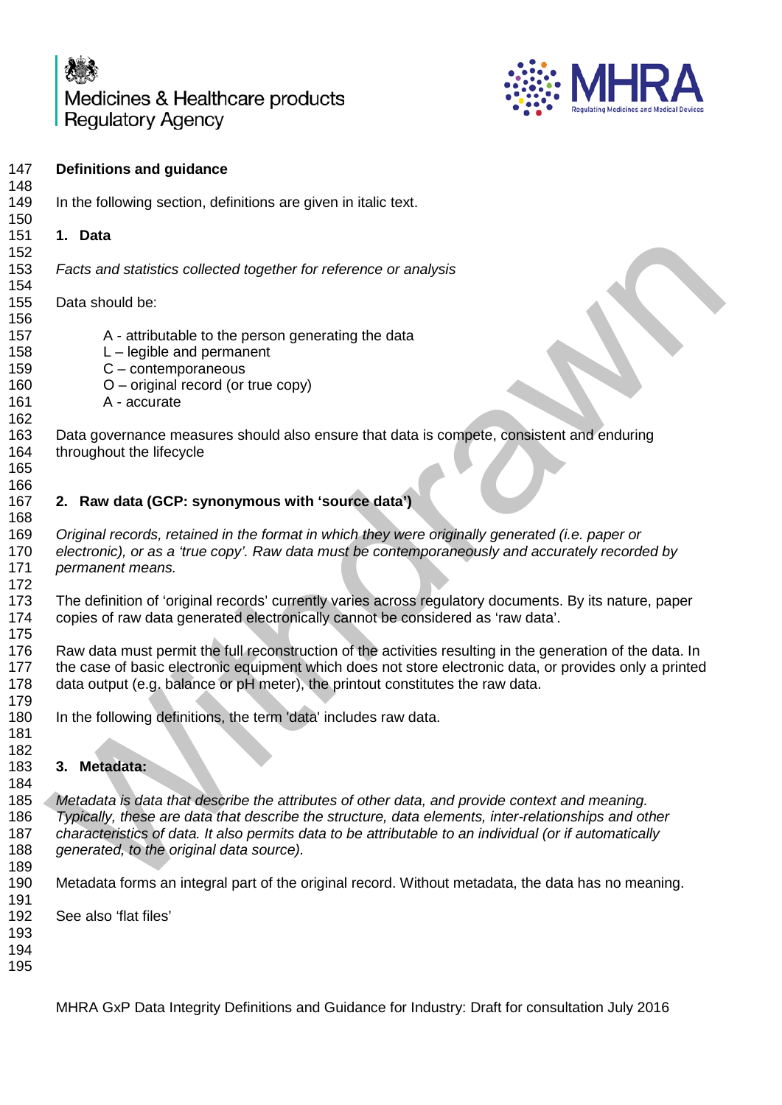

| 147<br>148               | <b>Definitions and guidance</b>                                                                                                                                                                                                                                                                                                                            |  |  |  |  |  |  |  |
|--------------------------|------------------------------------------------------------------------------------------------------------------------------------------------------------------------------------------------------------------------------------------------------------------------------------------------------------------------------------------------------------|--|--|--|--|--|--|--|
| 149<br>150               | In the following section, definitions are given in italic text.                                                                                                                                                                                                                                                                                            |  |  |  |  |  |  |  |
| 151                      | 1. Data                                                                                                                                                                                                                                                                                                                                                    |  |  |  |  |  |  |  |
| 152<br>153<br>154        | Facts and statistics collected together for reference or analysis                                                                                                                                                                                                                                                                                          |  |  |  |  |  |  |  |
| 155<br>156               | Data should be:                                                                                                                                                                                                                                                                                                                                            |  |  |  |  |  |  |  |
| 157<br>158               | A - attributable to the person generating the data<br>$L$ – legible and permanent                                                                                                                                                                                                                                                                          |  |  |  |  |  |  |  |
| 159                      | $C$ – contemporaneous                                                                                                                                                                                                                                                                                                                                      |  |  |  |  |  |  |  |
| 160<br>161<br>162        | $O$ – original record (or true copy)<br>A - accurate                                                                                                                                                                                                                                                                                                       |  |  |  |  |  |  |  |
| 163<br>164               | Data governance measures should also ensure that data is compete, consistent and enduring<br>throughout the lifecycle                                                                                                                                                                                                                                      |  |  |  |  |  |  |  |
| 165                      |                                                                                                                                                                                                                                                                                                                                                            |  |  |  |  |  |  |  |
| 166<br>167               | 2. Raw data (GCP: synonymous with 'source data')                                                                                                                                                                                                                                                                                                           |  |  |  |  |  |  |  |
| 168                      |                                                                                                                                                                                                                                                                                                                                                            |  |  |  |  |  |  |  |
| 169<br>170<br>171        | Original records, retained in the format in which they were originally generated (i.e. paper or<br>electronic), or as a 'true copy'. Raw data must be contemporaneously and accurately recorded by<br>permanent means.                                                                                                                                     |  |  |  |  |  |  |  |
| 172<br>173<br>174        | The definition of 'original records' currently varies across regulatory documents. By its nature, paper<br>copies of raw data generated electronically cannot be considered as 'raw data'.                                                                                                                                                                 |  |  |  |  |  |  |  |
| 175<br>176<br>177<br>178 | Raw data must permit the full reconstruction of the activities resulting in the generation of the data. In<br>the case of basic electronic equipment which does not store electronic data, or provides only a printed<br>data output (e.g. balance or pH meter), the printout constitutes the raw data.                                                    |  |  |  |  |  |  |  |
| 179<br>180               | In the following definitions, the term 'data' includes raw data.                                                                                                                                                                                                                                                                                           |  |  |  |  |  |  |  |
| 181                      |                                                                                                                                                                                                                                                                                                                                                            |  |  |  |  |  |  |  |
| 182<br>183               | 3. Metadata:                                                                                                                                                                                                                                                                                                                                               |  |  |  |  |  |  |  |
| 184                      |                                                                                                                                                                                                                                                                                                                                                            |  |  |  |  |  |  |  |
| 185<br>186<br>187<br>188 | Metadata is data that describe the attributes of other data, and provide context and meaning.<br>Typically, these are data that describe the structure, data elements, inter-relationships and other<br>characteristics of data. It also permits data to be attributable to an individual (or if automatically<br>generated, to the original data source). |  |  |  |  |  |  |  |
| 189                      |                                                                                                                                                                                                                                                                                                                                                            |  |  |  |  |  |  |  |
| 190<br>191               | Metadata forms an integral part of the original record. Without metadata, the data has no meaning.                                                                                                                                                                                                                                                         |  |  |  |  |  |  |  |
| 192<br>193<br>194<br>195 | See also 'flat files'                                                                                                                                                                                                                                                                                                                                      |  |  |  |  |  |  |  |
|                          | MHRA GxP Data Integrity Definitions and Guidance for Industry: Draft for consultation July 2016                                                                                                                                                                                                                                                            |  |  |  |  |  |  |  |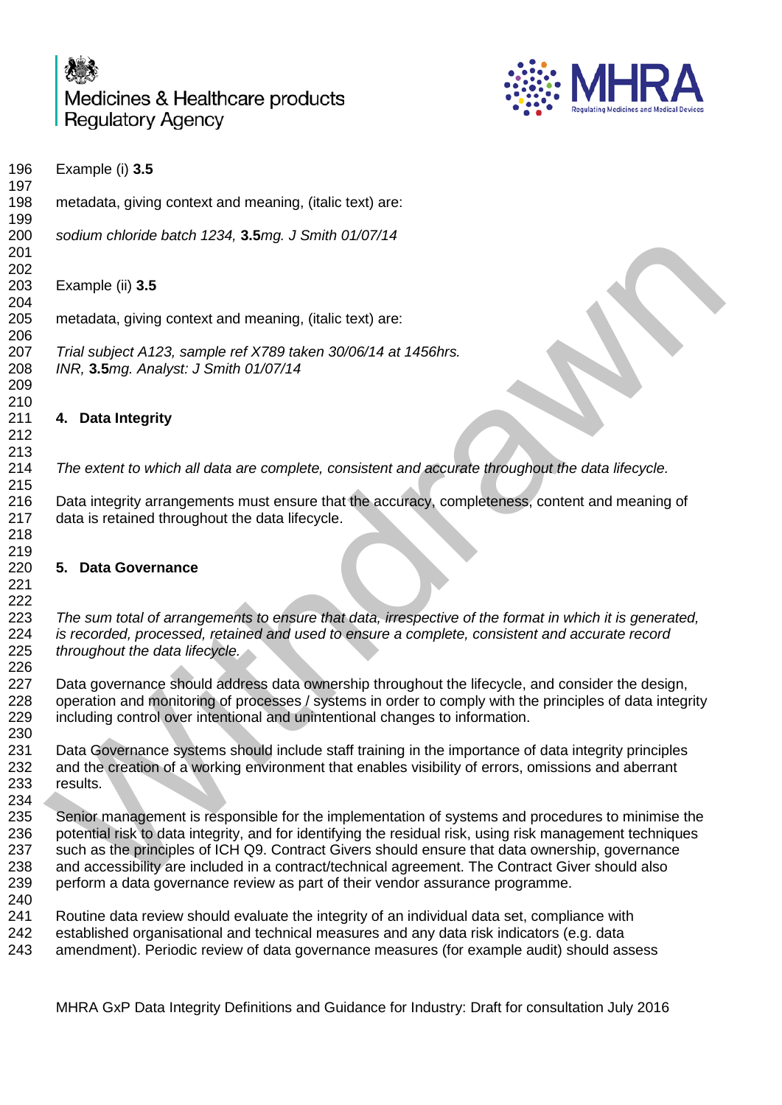licines & Healthcare products **ICV** 



|                                 | IVIEGICINES & HEARINGALE PROGREGIS<br><b>Regulating Medicines and Medical Devices</b><br><b>Regulatory Agency</b>                                                                                                                                                                                                                                                                                                                                                                                      |
|---------------------------------|--------------------------------------------------------------------------------------------------------------------------------------------------------------------------------------------------------------------------------------------------------------------------------------------------------------------------------------------------------------------------------------------------------------------------------------------------------------------------------------------------------|
| 196<br>197                      | Example (i) 3.5                                                                                                                                                                                                                                                                                                                                                                                                                                                                                        |
| 198                             | metadata, giving context and meaning, (italic text) are:                                                                                                                                                                                                                                                                                                                                                                                                                                               |
| 199<br>200<br>201               | sodium chloride batch 1234, 3.5mg. J Smith 01/07/14                                                                                                                                                                                                                                                                                                                                                                                                                                                    |
| 202<br>203<br>204               | Example (ii) 3.5                                                                                                                                                                                                                                                                                                                                                                                                                                                                                       |
| 205<br>206                      | metadata, giving context and meaning, (italic text) are:                                                                                                                                                                                                                                                                                                                                                                                                                                               |
| 207<br>208<br>209<br>210        | Trial subject A123, sample ref X789 taken 30/06/14 at 1456hrs.<br>INR, 3.5mg. Analyst: J Smith 01/07/14                                                                                                                                                                                                                                                                                                                                                                                                |
| 211<br>212                      | 4. Data Integrity                                                                                                                                                                                                                                                                                                                                                                                                                                                                                      |
| 213                             |                                                                                                                                                                                                                                                                                                                                                                                                                                                                                                        |
| 214<br>215                      | The extent to which all data are complete, consistent and accurate throughout the data lifecycle.                                                                                                                                                                                                                                                                                                                                                                                                      |
| 216<br>217<br>218               | Data integrity arrangements must ensure that the accuracy, completeness, content and meaning of<br>data is retained throughout the data lifecycle.                                                                                                                                                                                                                                                                                                                                                     |
| 219<br>220<br>221<br>222        | 5. Data Governance                                                                                                                                                                                                                                                                                                                                                                                                                                                                                     |
| 223<br>224<br>225<br>226        | The sum total of arrangements to ensure that data, irrespective of the format in which it is generated,<br>is recorded, processed, retained and used to ensure a complete, consistent and accurate record<br>throughout the data lifecycle.                                                                                                                                                                                                                                                            |
| 227<br>228<br>229<br>230        | Data governance should address data ownership throughout the lifecycle, and consider the design,<br>operation and monitoring of processes / systems in order to comply with the principles of data integrity<br>including control over intentional and unintentional changes to information.                                                                                                                                                                                                           |
| 231<br>232<br>233<br>234        | Data Governance systems should include staff training in the importance of data integrity principles<br>and the creation of a working environment that enables visibility of errors, omissions and aberrant<br>results.                                                                                                                                                                                                                                                                                |
| 235<br>236<br>237<br>238<br>239 | Senior management is responsible for the implementation of systems and procedures to minimise the<br>potential risk to data integrity, and for identifying the residual risk, using risk management techniques<br>such as the principles of ICH Q9. Contract Givers should ensure that data ownership, governance<br>and accessibility are included in a contract/technical agreement. The Contract Giver should also<br>perform a data governance review as part of their vendor assurance programme. |
| 240<br>241<br>242<br>243        | Routine data review should evaluate the integrity of an individual data set, compliance with<br>established organisational and technical measures and any data risk indicators (e.g. data<br>amendment). Periodic review of data governance measures (for example audit) should assess                                                                                                                                                                                                                 |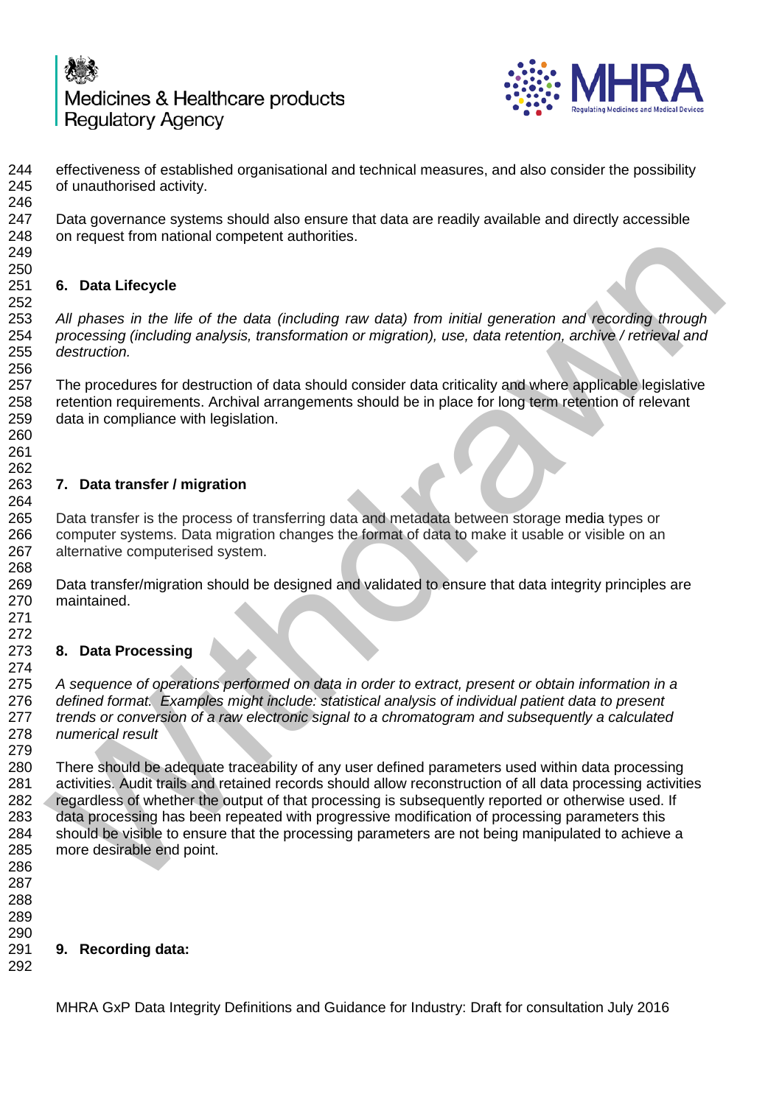

 effectiveness of established organisational and technical measures, and also consider the possibility of unauthorised activity. 

 Data governance systems should also ensure that data are readily available and directly accessible on request from national competent authorities.

### 250<br>251 **6. Data Lifecycle**

 *All phases in the life of the data (including raw data) from initial generation and recording through processing (including analysis, transformation or migration), use, data retention, archive / retrieval and destruction.* 

 The procedures for destruction of data should consider data criticality and where applicable legislative retention requirements. Archival arrangements should be in place for long term retention of relevant data in compliance with legislation.

## **7. Data transfer / migration**

 Data transfer is the process of transferring data and metadata between storage media types or computer systems. Data migration changes the format of data to make it usable or visible on an alternative computerised system.

 Data transfer/migration should be designed and validated to ensure that data integrity principles are maintained.

## 

 

### **8. Data Processing**

274<br>275 *A sequence of operations performed on data in order to extract, present or obtain information in a defined format. Examples might include: statistical analysis of individual patient data to present trends or conversion of a raw electronic signal to a chromatogram and subsequently a calculated numerical result*

 There should be adequate traceability of any user defined parameters used within data processing activities. Audit trails and retained records should allow reconstruction of all data processing activities regardless of whether the output of that processing is subsequently reported or otherwise used. If data processing has been repeated with progressive modification of processing parameters this should be visible to ensure that the processing parameters are not being manipulated to achieve a more desirable end point. on request noni national competent autionities.<br>
5. Data Lifecycle<br>
4. Datass in the life of the data (including raw data) from initial generation and recording through<br>
processing (including analysis, transformation or mi

- 
- 
- 

### **9. Recording data:**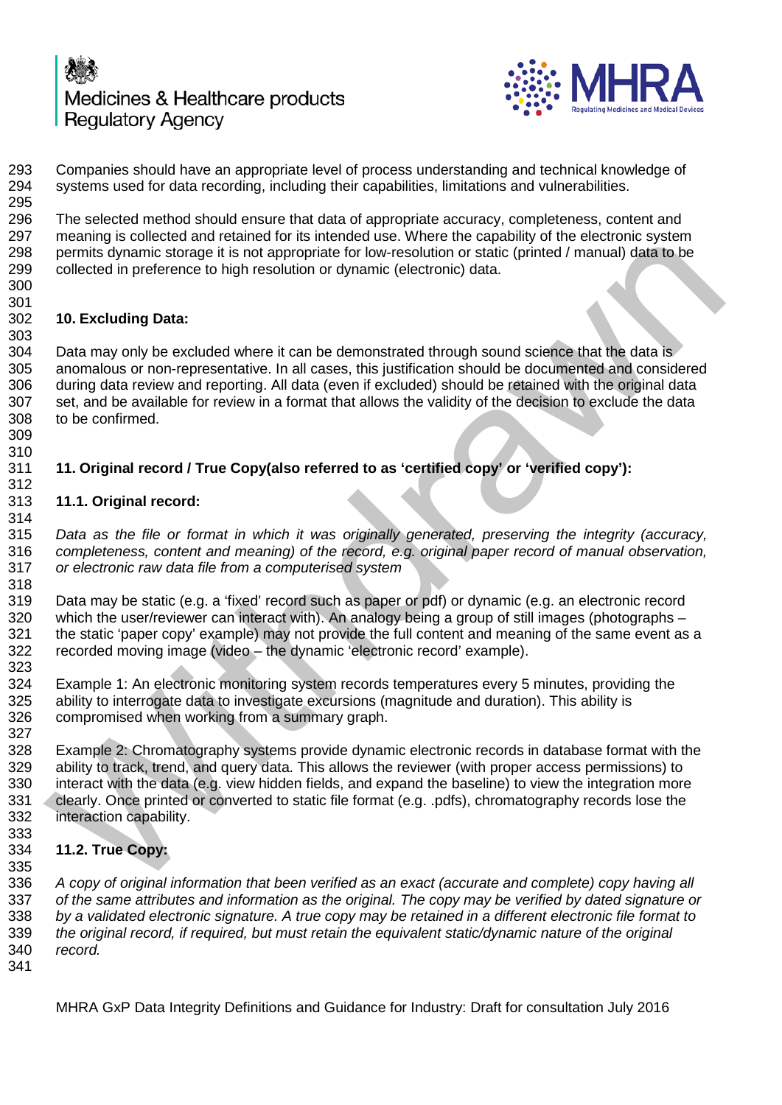



293 Companies should have an appropriate level of process understanding and technical knowledge of 294 systems used for data recording, including their capabilities, limitations and vulnerabilities. systems used for data recording, including their capabilities, limitations and vulnerabilities. The selected method should ensure that data of appropriate accuracy, completeness, content and meaning is collected and retained for its intended use. Where the capability of the electronic system 298 permits dynamic storage it is not appropriate for low-resolution or static (printed / manual) data to be collected in preference to high resolution or dynamic (electronic) data. **10. Excluding Data:** Data may only be excluded where it can be demonstrated through sound science that the data is anomalous or non-representative. In all cases, this justification should be documented and considered during data review and reporting. All data (even if excluded) should be retained with the original data set, and be available for review in a format that allows the validity of the decision to exclude the data to be confirmed. **11. Original record / True Copy(also referred to as 'certified copy' or 'verified copy'): 11.1. Original record:** incensing is ownered antroduced and the member use. Yield the Capsaling of the Beating of the analysis of permits dynamic storege it is not appropriate for tow-resolution or static (pinted / manual) data to be<br>cellected in

 *Data as the file or format in which it was originally generated, preserving the integrity (accuracy, completeness, content and meaning) of the record, e.g. original paper record of manual observation, or electronic raw data file from a computerised system* 

 Data may be static (e.g. a 'fixed' record such as paper or pdf) or dynamic (e.g. an electronic record which the user/reviewer can interact with). An analogy being a group of still images (photographs – the static 'paper copy' example) may not provide the full content and meaning of the same event as a recorded moving image (video – the dynamic 'electronic record' example). 

 Example 1: An electronic monitoring system records temperatures every 5 minutes, providing the ability to interrogate data to investigate excursions (magnitude and duration). This ability is compromised when working from a summary graph.

 Example 2: Chromatography systems provide dynamic electronic records in database format with the ability to track, trend, and query data. This allows the reviewer (with proper access permissions) to 330 interact with the data (e.g. view hidden fields, and expand the baseline) to view the integration more<br>331 clearly. Once printed or converted to static file format (e.g. .pdfs), chromatography records lose the 331 clearly. Once printed or converted to static file format (e.g. .pdfs), chromatography records lose the 332 interaction capability.

 **11.2. True Copy:** 

 *A copy of original information that been verified as an exact (accurate and complete) copy having all of the same attributes and information as the original. The copy may be verified by dated signature or by a validated electronic signature. A true copy may be retained in a different electronic file format to the original record, if required, but must retain the equivalent static/dynamic nature of the original record.*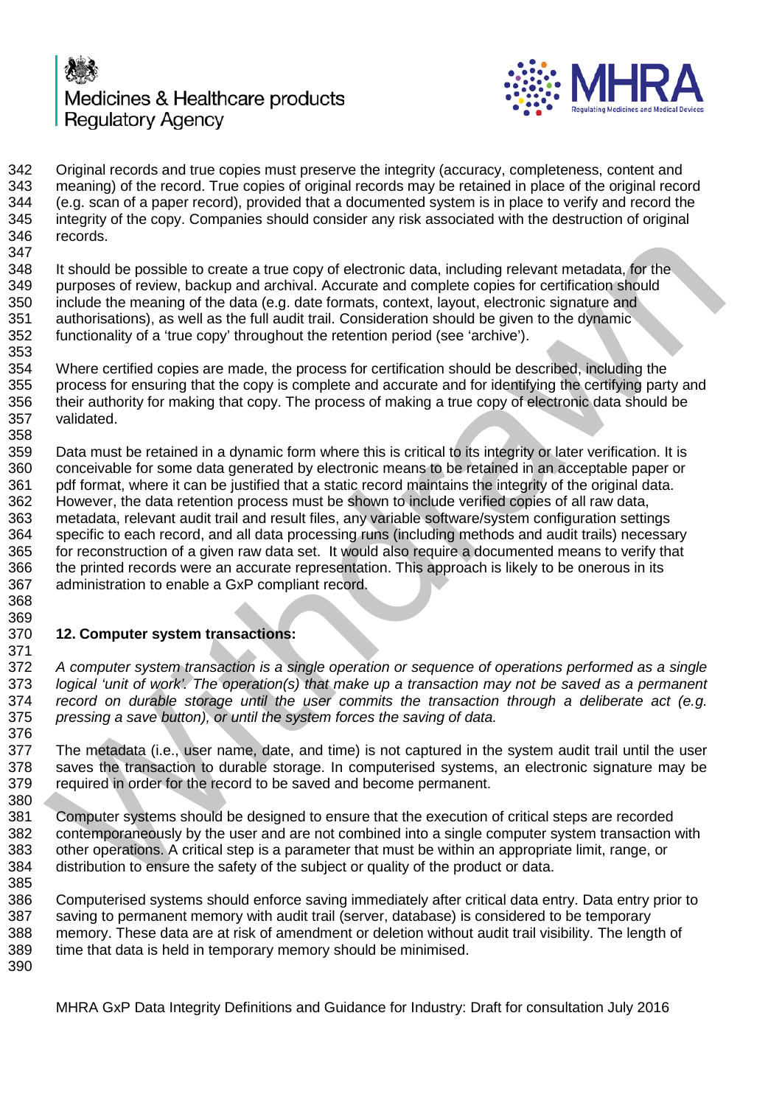



342 Original records and true copies must preserve the integrity (accuracy, completeness, content and<br>343 meaning) of the record. True copies of original records may be retained in place of the original reco meaning) of the record. True copies of original records may be retained in place of the original record (e.g. scan of a paper record), provided that a documented system is in place to verify and record the integrity of the copy. Companies should consider any risk associated with the destruction of original records. 

348 It should be possible to create a true copy of electronic data, including relevant metadata, for the<br>349 purposes of review, backup and archival. Accurate and complete copies for certification should purposes of review, backup and archival. Accurate and complete copies for certification should include the meaning of the data (e.g. date formats, context, layout, electronic signature and authorisations), as well as the full audit trail. Consideration should be given to the dynamic functionality of a 'true copy' throughout the retention period (see 'archive').

 Where certified copies are made, the process for certification should be described, including the process for ensuring that the copy is complete and accurate and for identifying the certifying party and their authority for making that copy. The process of making a true copy of electronic data should be validated. 

 Data must be retained in a dynamic form where this is critical to its integrity or later verification. It is conceivable for some data generated by electronic means to be retained in an acceptable paper or pdf format, where it can be justified that a static record maintains the integrity of the original data. However, the data retention process must be shown to include verified copies of all raw data, metadata, relevant audit trail and result files, any variable software/system configuration settings specific to each record, and all data processing runs (including methods and audit trails) necessary 365 for reconstruction of a given raw data set. It would also require a documented means to verify that 366 the printed records were an accurate representation. This approach is likely to be onerous in its the printed records were an accurate representation. This approach is likely to be onerous in its administration to enable a GxP compliant record. it should be possible to create a true copy of electronic data, including relevant metadata, for the proposes of review, backup and archivela. Accurate and complete copies for certification should be meaning of the data (e

### 369<br>370 **12. Computer system transactions:**

 *A computer system transaction is a single operation or sequence of operations performed as a single logical 'unit of work'. The operation(s) that make up a transaction may not be saved as a permanent record on durable storage until the user commits the transaction through a deliberate act (e.g. pressing a save button), or until the system forces the saving of data.*

 The metadata (i.e., user name, date, and time) is not captured in the system audit trail until the user saves the transaction to durable storage. In computerised systems, an electronic signature may be required in order for the record to be saved and become permanent.

 Computer systems should be designed to ensure that the execution of critical steps are recorded contemporaneously by the user and are not combined into a single computer system transaction with other operations. A critical step is a parameter that must be within an appropriate limit, range, or distribution to ensure the safety of the subject or quality of the product or data.

 Computerised systems should enforce saving immediately after critical data entry. Data entry prior to saving to permanent memory with audit trail (server, database) is considered to be temporary memory. These data are at risk of amendment or deletion without audit trail visibility. The length of time that data is held in temporary memory should be minimised.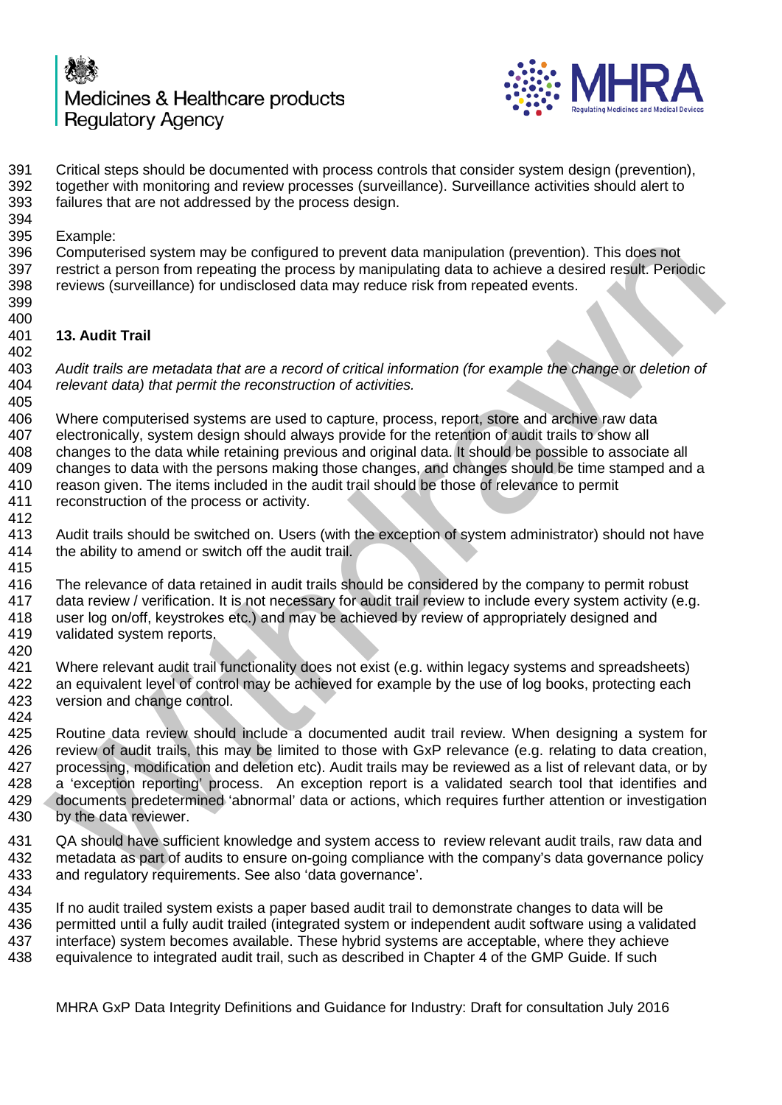

391 Critical steps should be documented with process controls that consider system design (prevention), 392 together with monitoring and review processes (surveillance). Surveillance activities should alert to together with monitoring and review processes (surveillance). Surveillance activities should alert to failures that are not addressed by the process design. Example: Computerised system may be configured to prevent data manipulation (prevention). This does not 397 restrict a person from repeating the process by manipulating data to achieve a desired result. Periodic<br>398 reviews (surveillance) for undisclosed data may reduce risk from repeated events. reviews (surveillance) for undisclosed data may reduce risk from repeated events. **13. Audit Trail** *Audit trails are metadata that are a record of critical information (for example the change or deletion of relevant data) that permit the reconstruction of activities.*  Where computerised systems are used to capture, process, report, store and archive raw data electronically, system design should always provide for the retention of audit trails to show all changes to the data while retaining previous and original data. It should be possible to associate all changes to data with the persons making those changes, and changes should be time stamped and a reason given. The items included in the audit trail should be those of relevance to permit reconstruction of the process or activity. 413 Audit trails should be switched on. Users (with the exception of system administrator) should not have 414 the ability to amend or switch off the audit trail. the ability to amend or switch off the audit trail. The relevance of data retained in audit trails should be considered by the company to permit robust data review / verification. It is not necessary for audit trail review to include every system activity (e.g. user log on/off, keystrokes etc.) and may be achieved by review of appropriately designed and validated system reports. 421 Where relevant audit trail functionality does not exist (e.g. within legacy systems and spreadsheets)<br>422 an equivalent level of control may be achieved for example by the use of log books, protecting each an equivalent level of control may be achieved for example by the use of log books, protecting each version and change control. Routine data review should include a documented audit trail review. When designing a system for review of audit trails, this may be limited to those with GxP relevance (e.g. relating to data creation, processing, modification and deletion etc). Audit trails may be reviewed as a list of relevant data, or by 428 a 'exception reporting' process. An exception report is a validated search tool that identifies and 429 documents predetermined 'abnormal' data or actions, which requires further attention or investigation documents predetermined 'abnormal' data or actions, which requires further attention or investigation by the data reviewer. QA should have sufficient knowledge and system access to review relevant audit trails, raw data and metadata as part of audits to ensure on-going compliance with the company's data governance policy and regulatory requirements. See also 'data governance'. If no audit trailed system exists a paper based audit trail to demonstrate changes to data will be 436 permitted until a fully audit trailed (integrated system or independent audit software using a validated 437 interface) system becomes available. These hybrid systems are acceptable, where they achieve interface) system becomes available. These hybrid systems are acceptable, where they achieve equivalence to integrated audit trail, such as described in Chapter 4 of the GMP Guide. If such Computerised system may be configured to prevent data manipulation (prevention). This does not<br>compute a person from repeating the process by manipulating data to achieve a desired result. Periodic<br>reviews (surveillance) f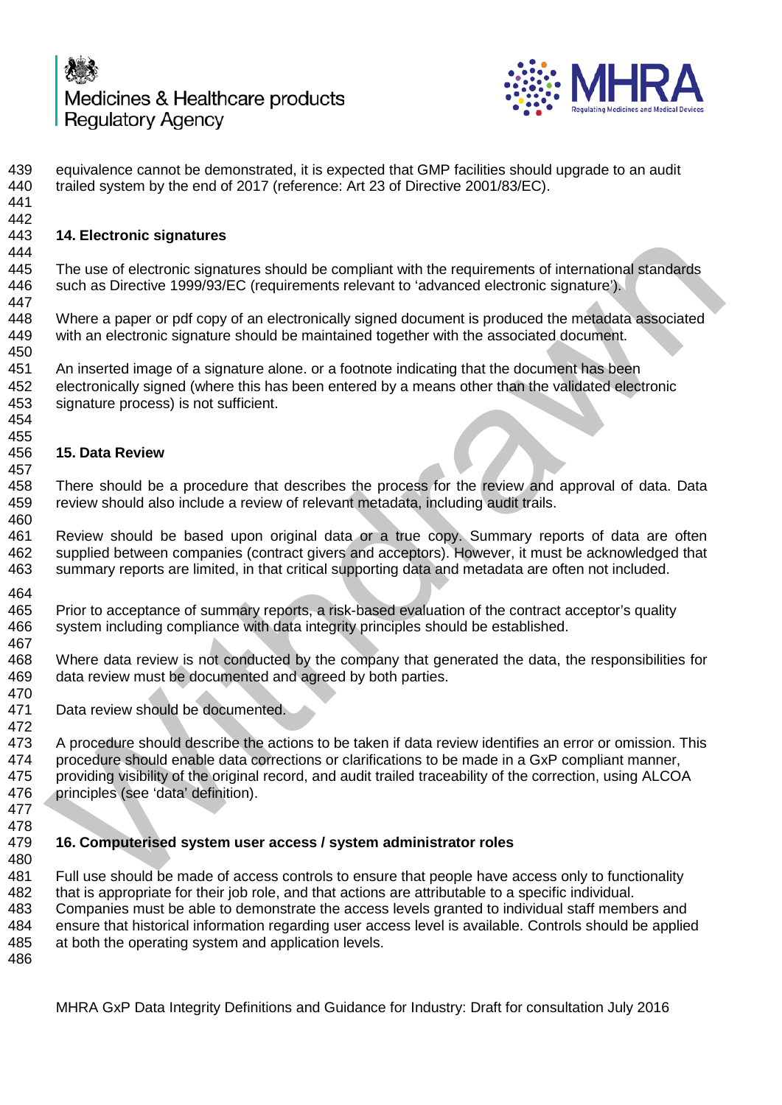

 equivalence cannot be demonstrated, it is expected that GMP facilities should upgrade to an audit trailed system by the end of 2017 (reference: Art 23 of Directive 2001/83/EC). **14. Electronic signatures** 445 The use of electronic signatures should be compliant with the requirements of international standards<br>446 such as Directive 1999/93/EC (requirements relevant to 'advanced electronic signature'). such as Directive 1999/93/EC (requirements relevant to 'advanced electronic signature'). Where a paper or pdf copy of an electronically signed document is produced the metadata associated with an electronic signature should be maintained together with the associated document. An inserted image of a signature alone. or a footnote indicating that the document has been electronically signed (where this has been entered by a means other than the validated electronic signature process) is not sufficient. **15. Data Review** There should be a procedure that describes the process for the review and approval of data. Data review should also include a review of relevant metadata, including audit trails. Review should be based upon original data or a true copy. Summary reports of data are often supplied between companies (contract givers and acceptors). However, it must be acknowledged that summary reports are limited, in that critical supporting data and metadata are often not included. 464<br>465 465 Prior to acceptance of summary reports, a risk-based evaluation of the contract acceptor's quality<br>466 system including compliance with data integrity principles should be established. system including compliance with data integrity principles should be established. Where data review is not conducted by the company that generated the data, the responsibilities for data review must be documented and agreed by both parties. Data review should be documented. 472<br>473 A procedure should describe the actions to be taken if data review identifies an error or omission. This procedure should enable data corrections or clarifications to be made in a GxP compliant manner, providing visibility of the original record, and audit trailed traceability of the correction, using ALCOA principles (see 'data' definition). **16. Computerised system user access / system administrator roles** Full use should be made of access controls to ensure that people have access only to functionality that is appropriate for their job role, and that actions are attributable to a specific individual. Companies must be able to demonstrate the access levels granted to individual staff members and ensure that historical information regarding user access level is available. Controls should be applied at both the operating system and application levels. Fix. Lecturoin suppraising<br>The use of electronic signatures should be compliant with the requirements of international standards<br>such as Directive 1999/93/EC (requirements relevant to 'advanced electronic signature).<br>Where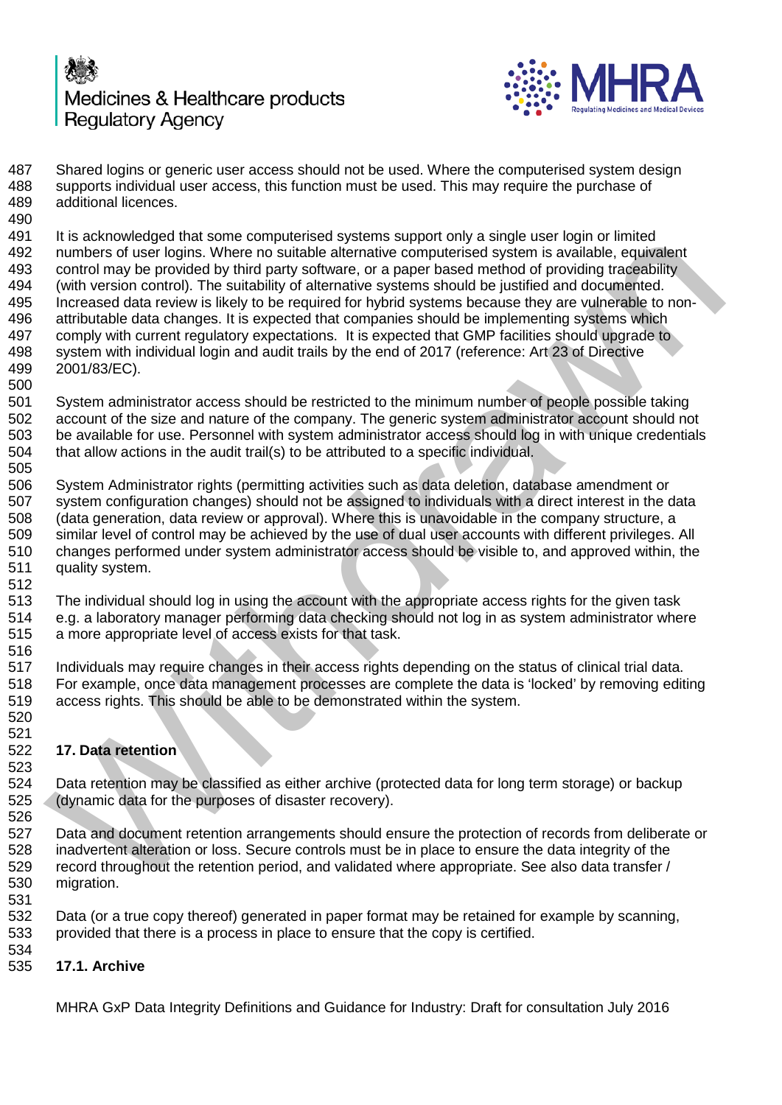



487 Shared logins or generic user access should not be used. Where the computerised system design<br>488 supports individual user access, this function must be used. This may require the purchase of supports individual user access, this function must be used. This may require the purchase of additional licences.

 It is acknowledged that some computerised systems support only a single user login or limited numbers of user logins. Where no suitable alternative computerised system is available, equivalent 493 control may be provided by third party software, or a paper based method of providing traceability<br>494 (with version control). The suitability of alternative systems should be iustified and documented. (with version control). The suitability of alternative systems should be justified and documented. Increased data review is likely to be required for hybrid systems because they are vulnerable to non- attributable data changes. It is expected that companies should be implementing systems which comply with current regulatory expectations. It is expected that GMP facilities should upgrade to system with individual login and audit trails by the end of 2017 (reference: Art 23 of Directive 2001/83/EC). In a solution and the model of the model and the model of the model of the model of the model of the model of the model of the model of the model of the model of the model of the model of the model of the model of the mode

 System administrator access should be restricted to the minimum number of people possible taking account of the size and nature of the company. The generic system administrator account should not be available for use. Personnel with system administrator access should log in with unique credentials that allow actions in the audit trail(s) to be attributed to a specific individual.

 System Administrator rights (permitting activities such as data deletion, database amendment or system configuration changes) should not be assigned to individuals with a direct interest in the data (data generation, data review or approval). Where this is unavoidable in the company structure, a similar level of control may be achieved by the use of dual user accounts with different privileges. All changes performed under system administrator access should be visible to, and approved within, the quality system.

 The individual should log in using the account with the appropriate access rights for the given task e.g. a laboratory manager performing data checking should not log in as system administrator where a more appropriate level of access exists for that task.

 Individuals may require changes in their access rights depending on the status of clinical trial data. For example, once data management processes are complete the data is 'locked' by removing editing access rights. This should be able to be demonstrated within the system. 

**17. Data retention**

 524 Data retention may be classified as either archive (protected data for long term storage) or backup 525 (dynamic data for the purposes of disaster recovery). (dynamic data for the purposes of disaster recovery).

 Data and document retention arrangements should ensure the protection of records from deliberate or inadvertent alteration or loss. Secure controls must be in place to ensure the data integrity of the record throughout the retention period, and validated where appropriate. See also data transfer / migration.

- Data (or a true copy thereof) generated in paper format may be retained for example by scanning, provided that there is a process in place to ensure that the copy is certified.
- **17.1. Archive**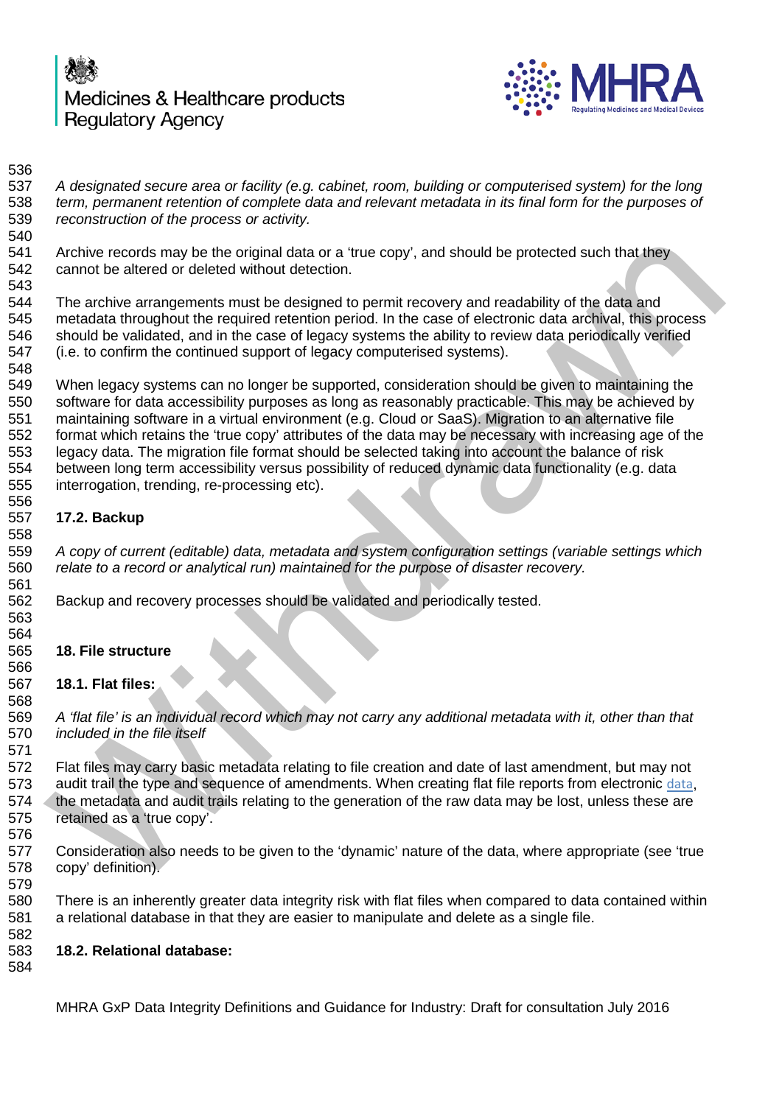



 *A designated secure area or facility (e.g. cabinet, room, building or computerised system) for the long term, permanent retention of complete data and relevant metadata in its final form for the purposes of reconstruction of the process or activity.* 

 Archive records may be the original data or a 'true copy', and should be protected such that they cannot be altered or deleted without detection.

 The archive arrangements must be designed to permit recovery and readability of the data and metadata throughout the required retention period. In the case of electronic data archival, this process should be validated, and in the case of legacy systems the ability to review data periodically verified (i.e. to confirm the continued support of legacy computerised systems).

 When legacy systems can no longer be supported, consideration should be given to maintaining the software for data accessibility purposes as long as reasonably practicable. This may be achieved by maintaining software in a virtual environment (e.g. Cloud or SaaS). Migration to an alternative file format which retains the 'true copy' attributes of the data may be necessary with increasing age of the legacy data. The migration file format should be selected taking into account the balance of risk between long term accessibility versus possibility of reduced dynamic data functionality (e.g. data interrogation, trending, re-processing etc). Archive records may be the original data or a "true copy", and should be protected such that they<br>cannot be altred or deleted without detection.<br>The archive arrangements must be designed to permit recovery and readability

## **17.2. Backup**

 *A copy of current (editable) data, metadata and system configuration settings (variable settings which relate to a record or analytical run) maintained for the purpose of disaster recovery.*

Backup and recovery processes should be validated and periodically tested.

#### **18. File structure**

### **18.1. Flat files:**

 *A 'flat file' is an individual record which may not carry any additional metadata with it, other than that included in the file itself*

 Flat files may carry basic metadata relating to file creation and date of last amendment, but may not audit trail the type and sequence of amendments. When creating flat file reports from electronic data, 574 the metadata and audit trails relating to the generation of the raw data may be lost, unless these are retained as a 'true copy'.

 Consideration also needs to be given to the 'dynamic' nature of the data, where appropriate (see 'true copy' definition).

 There is an inherently greater data integrity risk with flat files when compared to data contained within a relational database in that they are easier to manipulate and delete as a single file.

### **18.2. Relational database:**